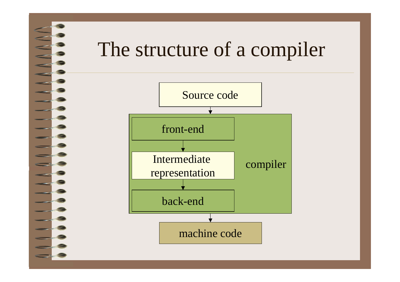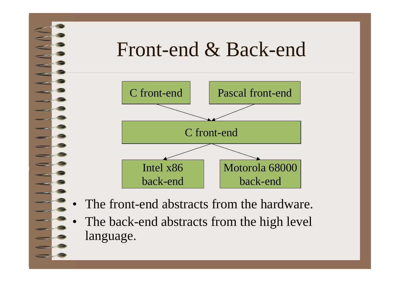

• The back-end abstracts from the high level language.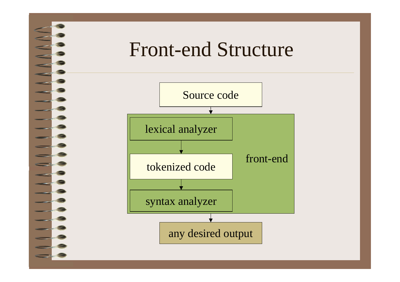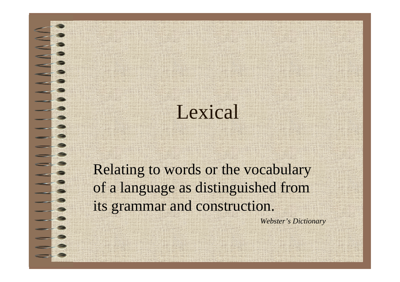### Lexical

Relating to words or the vocabulary of a language as distinguished from its grammar and construction.

*Webster's Dictionary*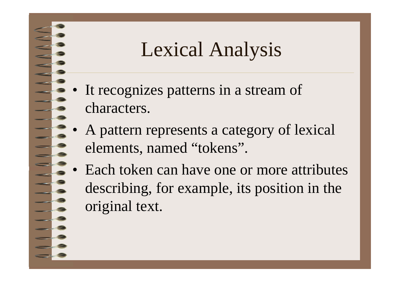## Lexical Analysis

- It recognizes patterns in a stream of characters.
- • A pattern represents a category of lexical elements, named "tokens".
- • Each token can have one or more attributes describing, for example, its position in the original text.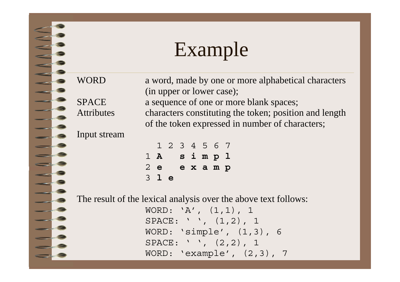## Example

WORD a word, made by one or more alphabetical characters

(in upper or lower case); SPACE a sequence of one or more blank spaces; Attributes characters constituting the token; position and length of the token expressed in number of characters;

#### Input stream

|                 |  |  | 1 2 3 4 5 6 7 |  |
|-----------------|--|--|---------------|--|
| $1 \; \text{A}$ |  |  | simpl         |  |
| $2$ e           |  |  | examp         |  |
| $3$ le          |  |  |               |  |

The result of the lexical analysis over the above text follows:

WORD: 'A', (1,1), 1 SPACE: ' ', (1,2), 1 WORD: 'simple', (1,3), 6 SPACE: ' ', (2,2), 1 WORD: 'example', (2,3), 7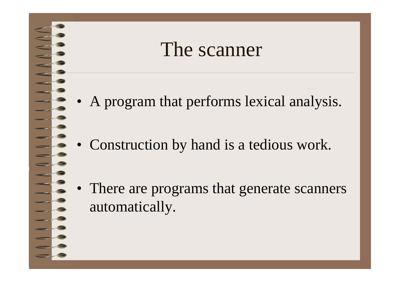#### The scanner

- A program that performs lexical analysis.
- Construction by hand is a tedious work.
- There are programs that generate scanners automatically.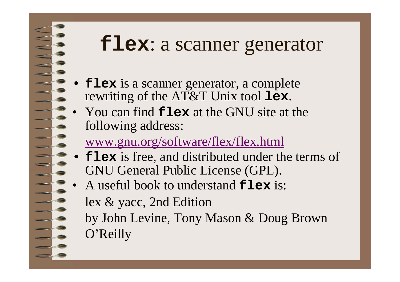#### **flex**: a scanner generator

- •• **flex** is a scanner generator, a complete rewriting of the AT&T Unix tool **lex**.
- • You can find **flex** at the GNU site at the following address:

#### www.gnu.org/software/flex/flex.html

- •**flex** is free, and distributed under the terms of GNU General Public License (GPL).
- • A useful book to understand **flex** is: lex & yacc, 2nd Edition by John Levine, Tony Mason & Doug Brown O'Reilly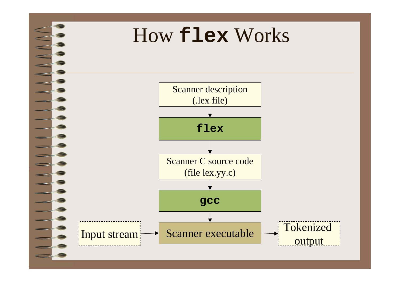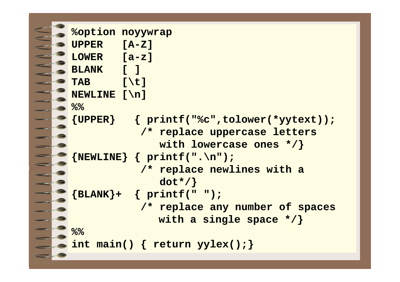```
%option noyywrap
UPPER [A-Z]
LOWER [a-z]
BLANK [ ]
TAB [\t]
NEWLINE [\n]
%%{UPPER} { printf("%c",tolower(*yytext));
            /* replace uppercase letters 
              with lowercase ones */}
{NEWLINE} { printf(".\n"); 
            /* replace newlines with a 
               dot*/}
 {BLANK}+ { printf(" "); 
            /* replace any number of spaces
              with a single space */}
%%int main() { return yylex();}
```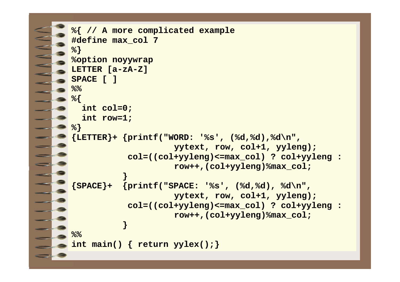```
%{ // A more complicated example
#define max_col 7
 %}
%option noyywrap
LETTER [a-zA-Z]
SPACE [ ]
%%%{
 int col=0;
 int row=1;
%}
{LETTER}+ {printf("WORD: '%s', (%d,%d),%d\n", 
                     yytext, row, col+1, yyleng);
           col=((col+yyleng)<=max_col) ? col+yyleng : 
                     row++,(col+yyleng)%max_col;
           }
 {SPACE}+ {printf("SPACE: '%s', (%d,%d), %d\n",
                     yytext, row, col+1, yyleng);
           col=((col+yyleng)<=max_col) ? col+yyleng : 
                     row++,(col+yyleng)%max_col;
           }
%%int main() { return yylex();}
```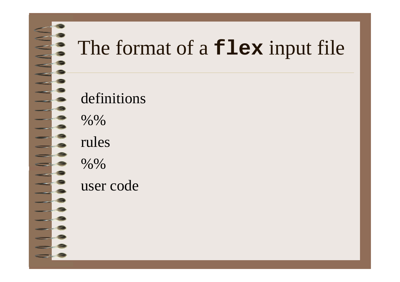## The format of a **flex** input file

#### definitions

%%

rules

%%

user code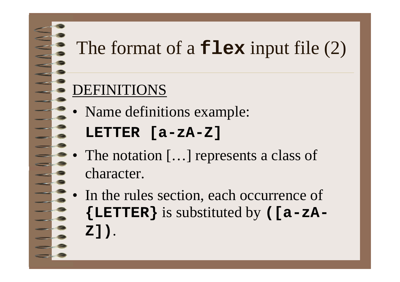## The format of a **flex** input file (2)

#### DEFINITIONS

- • Name definitions example:
	- **LETTER [a-zA-Z]**
- • The notation […] represents a class of character.
- • In the rules section, each occurrence of **{LETTER}** is substituted by **([a-zA-Z])**.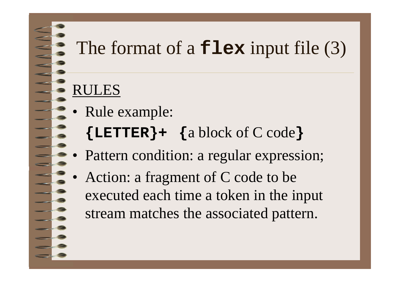## The format of a **flex** input file (3)

#### RULES

- • Rule example:
	- **{LETTER}+ {**a block of C code **}**
- •Pattern condition: a regular expression;
- • Action: a fragment of C code to be executed each time a token in the input stream matches the associated pattern.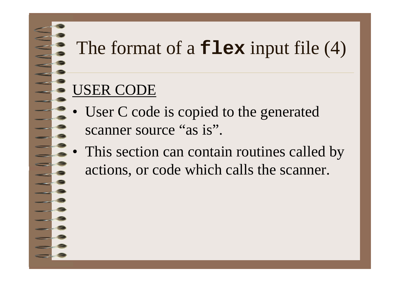## The format of a **flex** input file (4)

#### USER CODE

- •User C code is copied to the generated scanner source "as is".
- • This section can contain routines called by actions, or code which calls the scanner.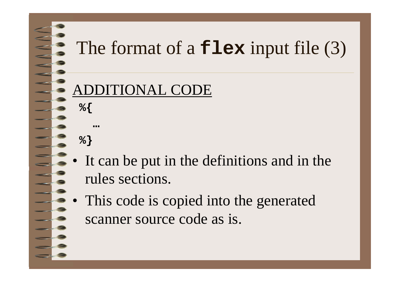## The format of a **flex** input file (3)

#### **TIONAL CODE**

**%}**

**…**

**%{**

- It can be put in the definitions and in the rules sections.
- • This code is copied into the generated scanner source code as is.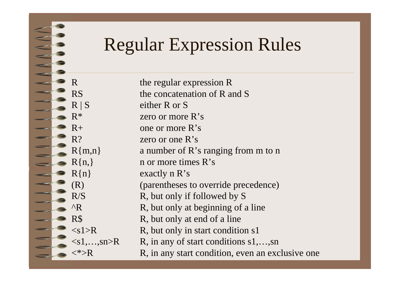#### Regular Expression Rules

R the regular expression R RS the concatenation of R and S  $R | S$  either R or S  $R^*$  zero or more  $R$ 's  $R<sub>+</sub>$  one or more R's R? zero or one R's $R{m,n}$  a number of R's ranging from m to n  $R\{n\}$  n or more times  $R's$  $R\{n\}$  exactly n  $R's$ (R) (parentheses to override precedence)  $R/S$  R, but only if followed by S  $^{\wedge}$ R, but only at beginning of a line R\$ R, but only at end of a line  $\langle s1\rangle R$  R, but only in start condition s1  $\langle s1, \ldots, sn \rangle R$  R, in any of start conditions s1,...,sn  $\langle \rangle$  R, in any start condition, even an exclusive one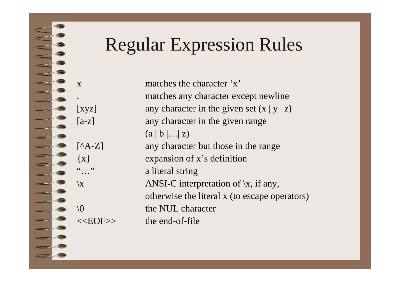#### Regular Expression Rules

x matches the character 'x'. matches any character except newline [xyz] any character in the given set  $(x | y | z)$ [a-z] any character in the given range  $(a | b | ... | z)$ [^A-Z] any character but those in the range {x} expansion of x's definition a literal string  $\setminus$ x ANSI-C interpretation of  $\setminus$ x, if any, otherwise the literal x (to escape operators)  $\setminus$  0 the NUL character <<EOF>> the end-of-file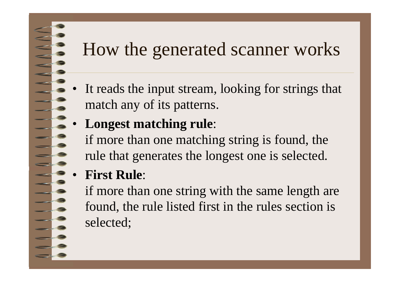#### How the generated scanner works

- • It reads the input stream, looking for strings that match any of its patterns.
- •**Longest matching rule**:

if more than one matching string is found, the rule that generates the longest one is selected.

•**First Rule**:

> if more than one string with the same length are found, the rule listed first in the rules section is selected;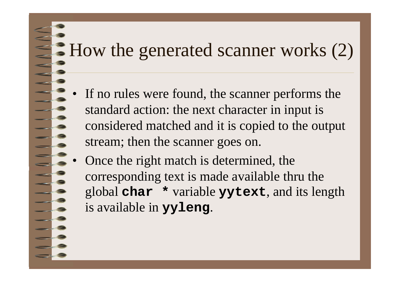### How the generated scanner works (2)

- • If no rules were found, the scanner performs the standard action: the next character in input is considered matched and it is copied to the output stream; then the scanner goes on.
- • Once the right match is determined, the corresponding text is made available thru the global **char \*** variable **yytext**, and its length is available in **yyleng**.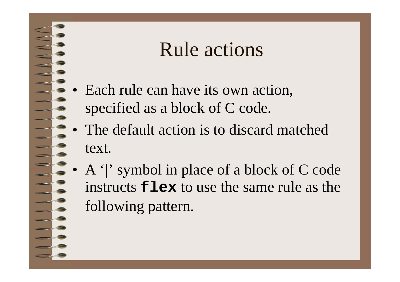#### Rule actions

- Each rule can have its own action, specified as a block of C code.
- The default action is to discard matched text.
- • A '**|**' symbol in place of a block of C code instructs **flex** to use the same rule as the following pattern.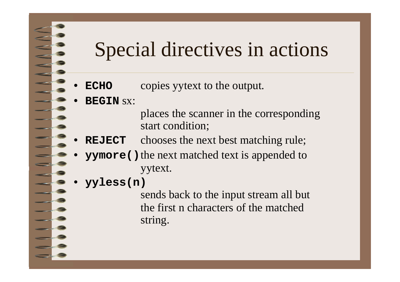### Special directives in actions

- •**ECHO** copies yytext to the output.
- • **BEGIN** sx:
	- places the scanner in the corresponding start condition;
- •**REJECT** chooses the next best matching rule;
- •**yymore ()** the next matched text is appended to yytext.
- •**yyless(n)**

sends back to the input stream all but the first n characters of the matchedstring.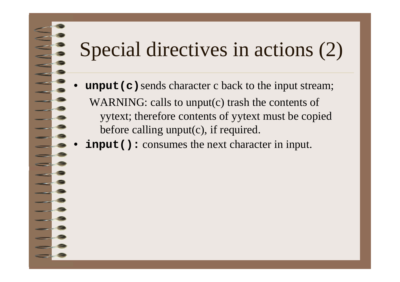## Special directives in actions (2)

- •**unput (c)** sends character c back to the input stream; WARNING: calls to unput(c) trash the contents of yytext; therefore contents of yytext must be copied before calling unput(c), if required.
- •**input():** consumes the next character in input.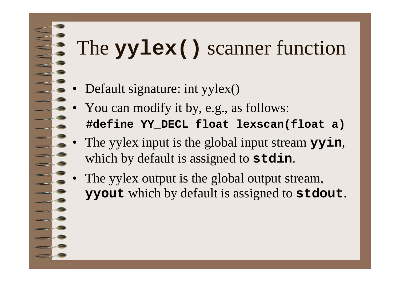# The **yylex()** scanner function

- •Default signature: int yylex()
- • You can modify it by, e.g., as follows: **#define YY\_DECL float lexscan(float a)**
- • The yylex input is the global input stream **yyin**, which by default is assigned to **stdin**.
- • The yylex output is the global output stream, **yyout** which by default is assigned to **stdout**.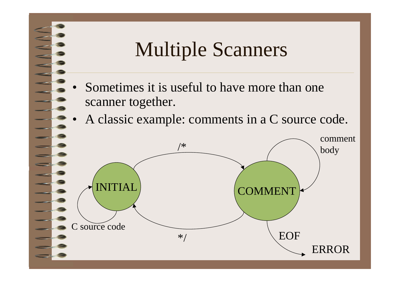## Multiple Scanners

- • Sometimes it is useful to have more than one scanner together.
- •A classic example: comments in a C source code.

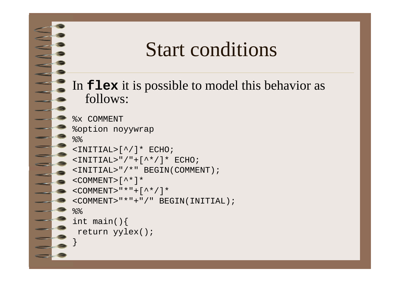#### Start conditions

In **flex** it is possible to model this behavior as follows:

```
%x COMMENT%option noyywrap
%%<INITIAL>[^/]* ECHO;
<INITIAL>"/"+[^*/]* ECHO;
<INITIAL>"/*" BEGIN(COMMENT);
<COMMENT>\lceil ^ * \rceil *
< COMMENT>"*"+[^*/]*
<COMMENT>"*"+"/" BEGIN(INITIAL);
%int main(){
 return yylex();
}
```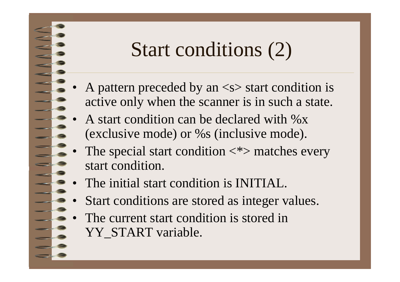## Start conditions (2)

- A pattern preceded by an  $\langle s \rangle$  start condition is active only when the scanner is in such a state.
- • A start condition can be declared with %x (exclusive mode) or %s (inclusive mode).
- •The special start condition  $\langle * \rangle$  matches every start condition.
- •The initial start condition is INITIAL.

•

- •Start conditions are stored as integer values.
- • The current start condition is stored in YY START variable.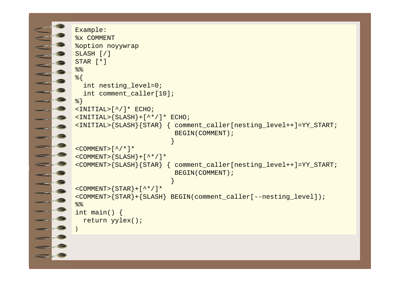```
}
```

```
Example:
%x COMMENT%option noyywrap
SLASH [/]
STAR [*]
%%{
  int nesting_level=0;
  int comment_caller[10];
%}
\text{SINITIAL}(^{\wedge}/] * ECHO;
\langleINITIAL>\langleSLASH\rangle+[\wedge^*/]* ECHO;
<INITIAL>{SLASH}{STAR} { comment_caller[nesting_level++]=YY_START;
                            BEGIN(COMMENT) ;
                            }
<COMMENT>[^{\wedge}/^{\star}]^*<COMMENT>\{SLSH\}+[^*/]*
<COMMENT>{SLASH}{STAR} { comment_caller[nesting_level++]=YY_START;
                            BEGIN(COMMENT) ;
                            }
<COMMENT>\{STAR\}+[^*/]*
<COMMENT>{STAR}+{SLASH} BEGIN(comment_caller[--nesting_level]);
%int main() {
  return yylex();
```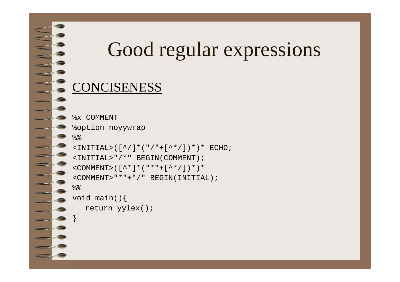## Good regular expressions

#### CONCISENESS

}

```
%x COMMENT%option noyywrap
%\text{CINITIAL} > (\lceil^{\wedge}/\rceil^{\star} (\lceil^{\wedge} / \rceil + \lceil^{\wedge \star}/\rceil )^{\star} )* ECHO;
<INITIAL>"/*" BEGIN(COMMENT);
<COMMENT>([^*]*("*"+[^*/])*)*
<COMMENT>"*"+"/" BEGIN(INITIAL);
%void main(){
    return yylex();
```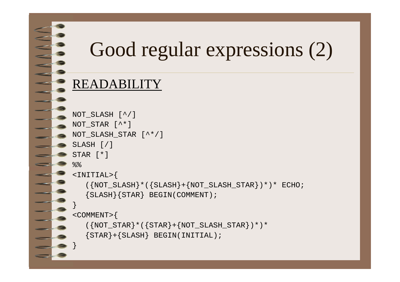# Good regular expressions (2)

#### READABILITY

}

```
NOT_SLASH [^/]
NOT STAR [ ^* ]
NOT_SLASH_STAR [^*/]
SLASH [/]
STAR [*]
%<INITIAL>{
    ({\text{NOT\_SLASH}}*(\text{SLASH}+\text{NOT\_SLASH\_STAR})*)*)* ECHO;
    {SLASH}{STAR} BEGIN(COMMENT);
}
<COMMENT>{
    ({\text{NOT\_STAR}} * ({\text{STAR}} + {\text{NOT\_SLASH\_STAR}})**{STAR}+{SLASH} BEGIN(INITIAL);
```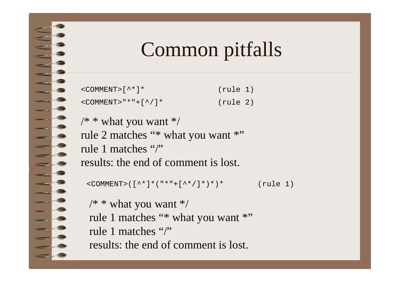## Common pitfalls

| $\leq$ COMMENT> $\lceil$ ^ * $\rceil$ * | (rule 1) |  |
|-----------------------------------------|----------|--|
| $\le$ COMMENT> " * " + [ ^ / ] *        | (rule 2) |  |

```
\frac{1}{2} * what you want */
rule 2 matches "* what you want *"
rule 1 matches "/"results: the end of comment is lost.
```

```
< COMMENT>([^{\star}]^*("*"+[^{\star}\rangle]^*)*)* (rule 1)
```

```
/* * what you want */
rule 1 matches "* what you want *"
rule 1 matches "/"results: the end of comment is lost.
```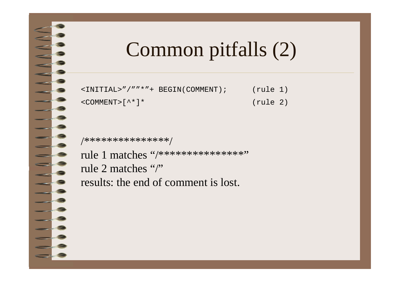## Common pitfalls (2)

| <initial>"/""*"+ BEGIN(COMMENT);</initial> | (rule 1) |  |
|--------------------------------------------|----------|--|
| <comment>[^*]*</comment>                   | (rule 2) |  |

/\*\*\*\*\*\*\*\*\*\*\*\*\*\*\*/

re<br>Dødsfall

rule 1 matches "/\*\*\*\*\*\*\*\*\*\*\*\*\*\*\*" rule 2 matches "/" results: the end of comment is lost.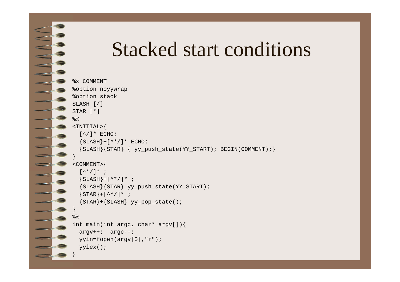#### Stacked start conditions

```
%x COMMENT%option noyywrap
%option stack
SLASH [/]
STAR [*]
%%<INITIAL>{
  \lceil ^/ ] * ECHO;
  {SLSH}+[{^{\star}\star}/]* ECHO;
  {SLASH}{STAR} { yy_push_state(YY_START); BEGIN(COMMENT);}
}
<COMMENT>{
  [^{\wedge *}/]* ;
  {SLSH}+[{^{\star}\star}/]* ;
  {SLASH}{STAR} yy_push_state(YY_START);
  {STAR}+[{^{\star}\star}/]* ;
  {STAR}+{SLASH} yy_pop_state();
}
\frac{8}{3}int main(int argc, char* argv[]){
  argv++; argc--;
  yyin=fopen(argv[0],"r");
  yylex();
}
```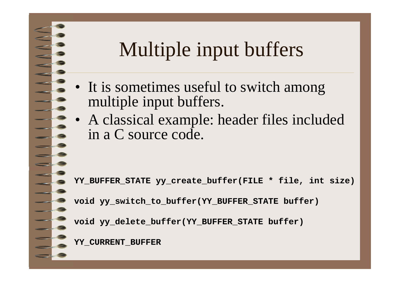## Multiple input buffers

- It is sometimes useful to switch among multiple input buffers.
- • A classical example: header files included in a C source code.

**YY\_BUFFER\_STATE yy\_create\_buffer(FILE \* file, int size)**

**void yy\_switch\_to\_buffer(YY\_BUFFER\_STATE buffer)**

**void yy\_delete\_buffer(YY\_BUFFER\_STATE buffer)**

**YY\_CURRENT\_BUFFER**